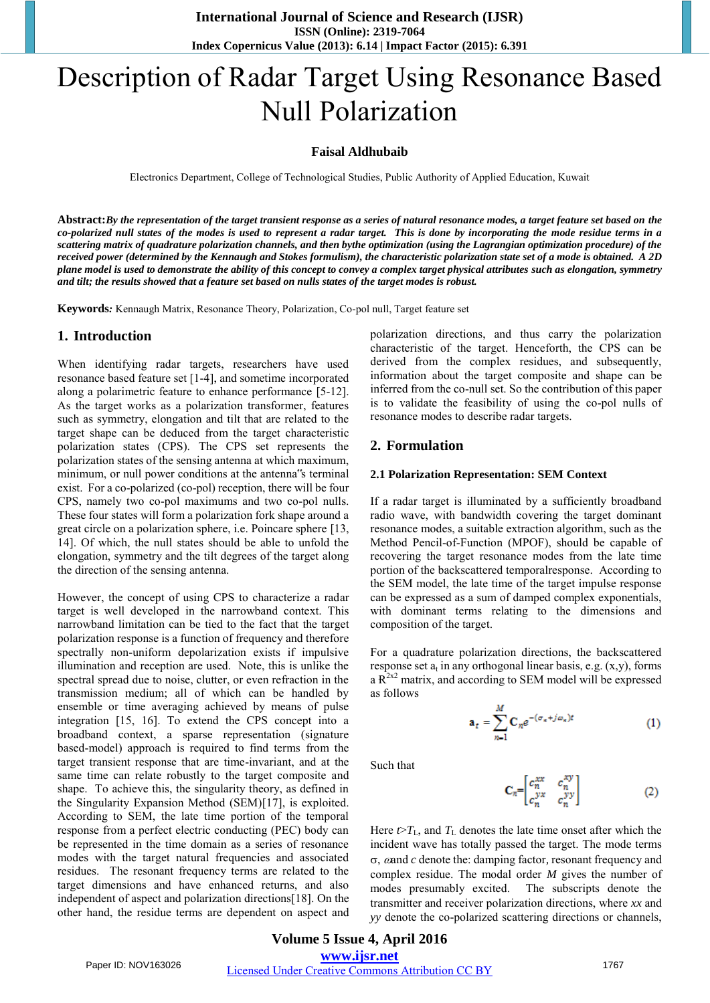# Description of Radar Target Using Resonance Based Null Polarization

### **Faisal Aldhubaib**

Electronics Department, College of Technological Studies, Public Authority of Applied Education, Kuwait

**Abstract:***By the representation of the target transient response as a series of natural resonance modes, a target feature set based on the co-polarized null states of the modes is used to represent a radar target. This is done by incorporating the mode residue terms in a scattering matrix of quadrature polarization channels, and then bythe optimization (using the Lagrangian optimization procedure) of the received power (determined by the Kennaugh and Stokes formulism), the characteristic polarization state set of a mode is obtained. A 2D plane model is used to demonstrate the ability of this concept to convey a complex target physical attributes such as elongation, symmetry and tilt; the results showed that a feature set based on nulls states of the target modes is robust.* 

**Keywords***:* Kennaugh Matrix, Resonance Theory, Polarization, Co-pol null, Target feature set

## **1. Introduction**

When identifying radar targets, researchers have used resonance based feature set [1-4], and sometime incorporated along a polarimetric feature to enhance performance [5-12]. As the target works as a polarization transformer, features such as symmetry, elongation and tilt that are related to the target shape can be deduced from the target characteristic polarization states (CPS). The CPS set represents the polarization states of the sensing antenna at which maximum, minimum, or null power conditions at the antenna"s terminal exist. For a co-polarized (co-pol) reception, there will be four CPS, namely two co-pol maximums and two co-pol nulls. These four states will form a polarization fork shape around a great circle on a polarization sphere, i.e. Poincare sphere [13, 14]. Of which, the null states should be able to unfold the elongation, symmetry and the tilt degrees of the target along the direction of the sensing antenna.

However, the concept of using CPS to characterize a radar target is well developed in the narrowband context. This narrowband limitation can be tied to the fact that the target polarization response is a function of frequency and therefore spectrally non-uniform depolarization exists if impulsive illumination and reception are used. Note, this is unlike the spectral spread due to noise, clutter, or even refraction in the transmission medium; all of which can be handled by ensemble or time averaging achieved by means of pulse integration [15, 16]. To extend the CPS concept into a broadband context, a sparse representation (signature based-model) approach is required to find terms from the target transient response that are time-invariant, and at the same time can relate robustly to the target composite and shape. To achieve this, the singularity theory, as defined in the Singularity Expansion Method (SEM)[17], is exploited. According to SEM, the late time portion of the temporal response from a perfect electric conducting (PEC) body can be represented in the time domain as a series of resonance modes with the target natural frequencies and associated residues. The resonant frequency terms are related to the target dimensions and have enhanced returns, and also independent of aspect and polarization directions[18]. On the other hand, the residue terms are dependent on aspect and polarization directions, and thus carry the polarization characteristic of the target. Henceforth, the CPS can be derived from the complex residues, and subsequently, information about the target composite and shape can be inferred from the co-null set. So the contribution of this paper is to validate the feasibility of using the co-pol nulls of resonance modes to describe radar targets.

# **2. Formulation**

#### **2.1 Polarization Representation: SEM Context**

If a radar target is illuminated by a sufficiently broadband radio wave, with bandwidth covering the target dominant resonance modes, a suitable extraction algorithm, such as the Method Pencil-of-Function (MPOF), should be capable of recovering the target resonance modes from the late time portion of the backscattered temporalresponse. According to the SEM model, the late time of the target impulse response can be expressed as a sum of damped complex exponentials, with dominant terms relating to the dimensions and composition of the target.

For a quadrature polarization directions, the backscattered response set  $a_t$  in any orthogonal linear basis, e.g.  $(x,y)$ , forms a  $R^{2x2}$  matrix, and according to SEM model will be expressed as follows

$$
\mathbf{a}_t = \sum_{n=1}^{M} \mathbf{C}_n e^{-(\sigma_n + j\omega_n)t} \tag{1}
$$

Such that

$$
\mathbf{C}_n = \begin{bmatrix} c_n^{xx} & c_n^{xy} \\ c_n^{yx} & c_n^{yy} \end{bmatrix}
$$
 (2)

Here  $t > T_L$ , and  $T_L$  denotes the late time onset after which the incident wave has totally passed the target. The mode terms , and *c* denote the: damping factor*,* resonant frequency and complex residue. The modal order *M* gives the number of modes presumably excited. The subscripts denote the transmitter and receiver polarization directions, where *xx* and *yy* denote the co-polarized scattering directions or channels,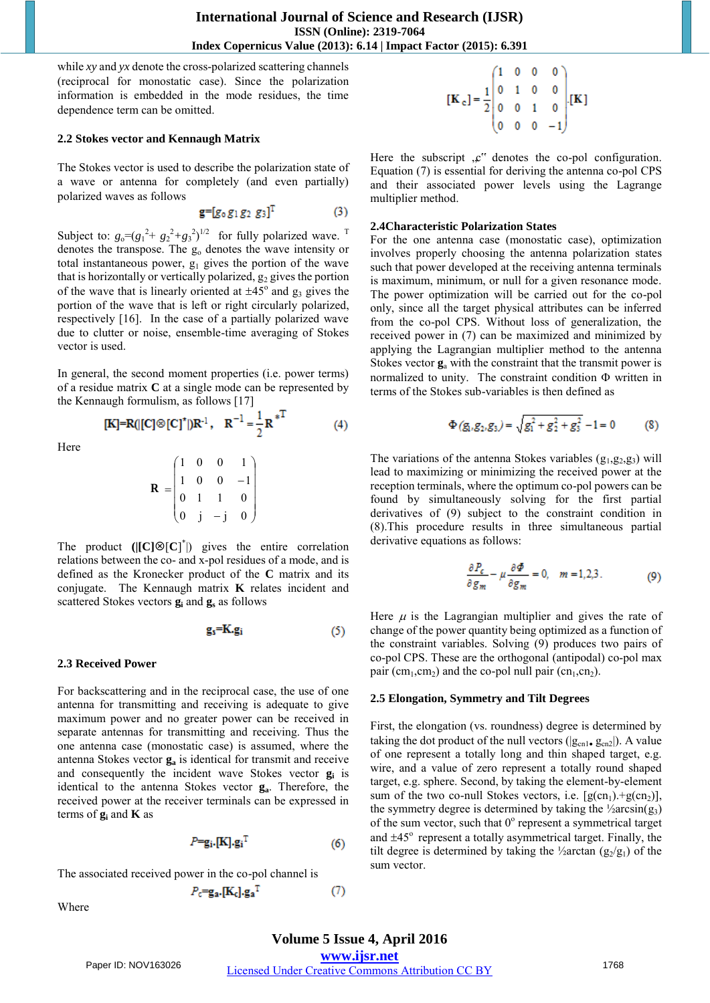$(4)$ 

while *xy* and *yx* denote the cross-polarized scattering channels (reciprocal for monostatic case). Since the polarization information is embedded in the mode residues, the time dependence term can be omitted.

#### **2.2 Stokes vector and Kennaugh Matrix**

The Stokes vector is used to describe the polarization state of a wave or antenna for completely (and even partially) polarized waves as follows

$$
\mathbf{g} = [g_0 g_1 g_2 g_3]^T \tag{3}
$$

Subject to:  $g_0 = (g_1^2 + g_2^2 + g_3^2)^{1/2}$  for fully polarized wave. <sup>T</sup> denotes the transpose. The g<sub>o</sub> denotes the wave intensity or total instantaneous power,  $g_1$  gives the portion of the wave that is horizontally or vertically polarized,  $g_2$  gives the portion of the wave that is linearly oriented at  $\pm 45^\circ$  and  $g_3$  gives the portion of the wave that is left or right circularly polarized, respectively [16]. In the case of a partially polarized wave due to clutter or noise, ensemble-time averaging of Stokes vector is used.

In general, the second moment properties (i.e. power terms) of a residue matrix **C** at a single mode can be represented by the Kennaugh formulism, as follows [17]<br>
[K]=R(|[C]<sup>®</sup>[C]<sup>\*</sup>|)R<sup>-1</sup>, R<sup>-1</sup> =  $\frac{1}{2}$ R<sup>\*T</sup>

Here

$$
\mathbf{R} = \begin{pmatrix} 1 & 0 & 0 & 1 \\ 1 & 0 & 0 & -1 \\ 0 & 1 & 1 & 0 \\ 0 & j & -j & 0 \end{pmatrix}
$$

The product  $(|[C] \otimes [C]^*)$  gives the entire correlation relations between the co- and x-pol residues of a mode, and is defined as the Kronecker product of the **C** matrix and its conjugate. The Kennaugh matrix **K** relates incident and scattered Stokes vectors  $\mathbf{g}_i$  and  $\mathbf{g}_s$  as follows

$$
\mathbf{g}_s = \mathbf{K} \cdot \mathbf{g}_i \tag{5}
$$

#### **2.3 Received Power**

For backscattering and in the reciprocal case, the use of one antenna for transmitting and receiving is adequate to give maximum power and no greater power can be received in separate antennas for transmitting and receiving. Thus the one antenna case (monostatic case) is assumed, where the antenna Stokes vector **ga** is identical for transmit and receive and consequently the incident wave Stokes vector **g<sup>i</sup>** is identical to the antenna Stokes vector **ga**. Therefore, the received power at the receiver terminals can be expressed in terms of **g<sup>i</sup>** and **K** as

$$
P = \mathbf{g_i} \cdot [\mathbf{K}] \cdot \mathbf{g_i}^{\mathrm{T}} \tag{6}
$$

The associated received power in the co-pol channel is

 $P_{\rm c}$ =g<sub>a</sub>.[K<sub>c</sub>].g<sub>a</sub><sup>T</sup>

Where

$$
\begin{bmatrix} \mathbf{K}_{\mathbf{c}} \end{bmatrix} = \frac{1}{2} \begin{bmatrix} 1 & 0 & 0 & 0 \\ 0 & 1 & 0 & 0 \\ 0 & 0 & 1 & 0 \\ 0 & 0 & 0 & -1 \end{bmatrix} \begin{bmatrix} \mathbf{K} \end{bmatrix}
$$

Here the subscript  $\mathcal{L}^{\prime\prime}$  denotes the co-pol configuration. Equation (7) is essential for deriving the antenna co-pol CPS and their associated power levels using the Lagrange multiplier method.

#### **2.4Characteristic Polarization States**

For the one antenna case (monostatic case), optimization involves properly choosing the antenna polarization states such that power developed at the receiving antenna terminals is maximum, minimum, or null for a given resonance mode. The power optimization will be carried out for the co-pol only, since all the target physical attributes can be inferred from the co-pol CPS. Without loss of generalization, the received power in (7) can be maximized and minimized by applying the Lagrangian multiplier method to the antenna Stokes vector **g**<sup>a</sup> with the constraint that the transmit power is normalized to unity. The constraint condition  $\Phi$  written in terms of the Stokes sub-variables is then defined as

$$
\Phi(g_1, g_2, g_3) = \sqrt{g_1^2 + g_2^2 + g_3^2} - 1 = 0
$$
 (8)

The variations of the antenna Stokes variables  $(g_1, g_2, g_3)$  will lead to maximizing or minimizing the received power at the reception terminals, where the optimum co-pol powers can be found by simultaneously solving for the first partial derivatives of (9) subject to the constraint condition in (8).This procedure results in three simultaneous partial derivative equations as follows:

$$
\frac{\partial P_c}{\partial g_m} - \mu \frac{\partial \Phi}{\partial g_m} = 0, \quad m = 1, 2, 3. \tag{9}
$$

Here  $\mu$  is the Lagrangian multiplier and gives the rate of change of the power quantity being optimized as a function of the constraint variables. Solving (9) produces two pairs of co-pol CPS. These are the orthogonal (antipodal) co-pol max pair (cm<sub>1</sub>,cm<sub>2</sub>) and the co-pol null pair (cn<sub>1</sub>,cn<sub>2</sub>).

#### **2.5 Elongation, Symmetry and Tilt Degrees**

First, the elongation (vs. roundness) degree is determined by taking the dot product of the null vectors ( $|g_{cn1}$ ,  $g_{cn2}|$ ). A value of one represent a totally long and thin shaped target, e.g. wire, and a value of zero represent a totally round shaped target, e.g. sphere. Second, by taking the element-by-element sum of the two co-null Stokes vectors, i.e.  $[g(cn_1) + g(cn_2)]$ , the symmetry degree is determined by taking the  $\frac{1}{2}$ arcsin(g<sub>3</sub>) of the sum vector, such that 0° represent a symmetrical target and  $\pm 45^\circ$  represent a totally asymmetrical target. Finally, the tilt degree is determined by taking the ½arctan  $(g_2/g_1)$  of the sum vector.

 $(7)$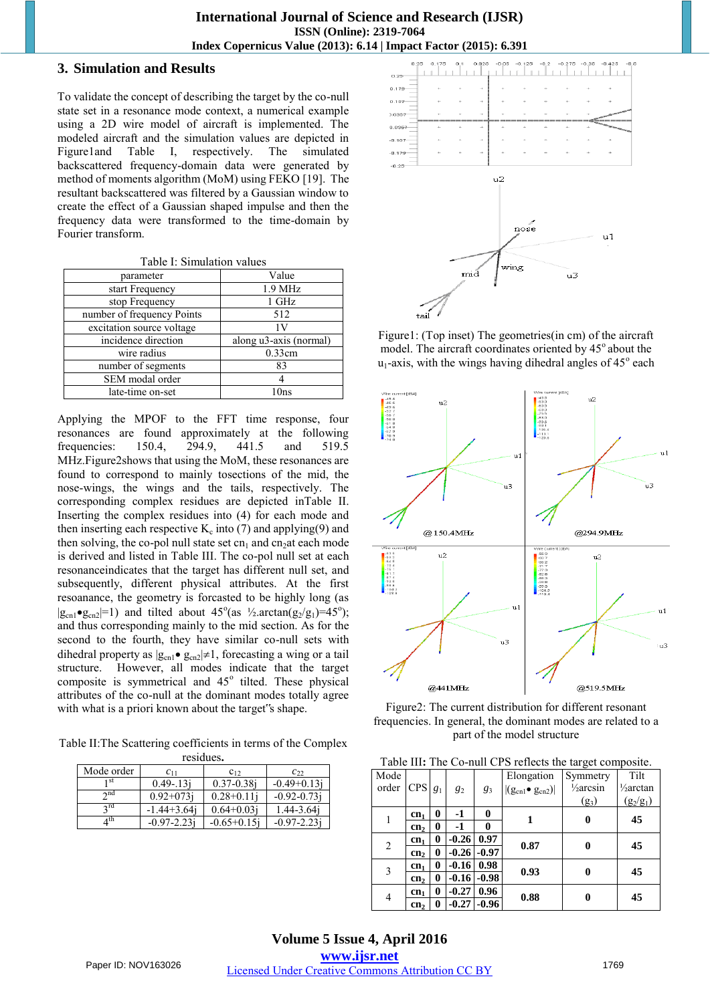## **3. Simulation and Results**

To validate the concept of describing the target by the co-null state set in a resonance mode context, a numerical example using a 2D wire model of aircraft is implemented. The modeled aircraft and the simulation values are depicted in Figure1and Table I, respectively. The simulated backscattered frequency-domain data were generated by method of moments algorithm (MoM) using FEKO [19]. The resultant backscattered was filtered by a Gaussian window to create the effect of a Gaussian shaped impulse and then the frequency data were transformed to the time-domain by Fourier transform.

Table I: Simulation values

| parameter                  | Value                  |  |  |  |  |
|----------------------------|------------------------|--|--|--|--|
| start Frequency            | 1.9 MHz                |  |  |  |  |
| stop Frequency             | 1 GHz                  |  |  |  |  |
| number of frequency Points | 512                    |  |  |  |  |
| excitation source voltage  | 1V                     |  |  |  |  |
| incidence direction        | along u3-axis (normal) |  |  |  |  |
| wire radius                | 0.33cm                 |  |  |  |  |
| number of segments         | 83                     |  |  |  |  |
| SEM modal order            |                        |  |  |  |  |
| late-time on-set           | 10ns                   |  |  |  |  |
|                            |                        |  |  |  |  |

Applying the MPOF to the FFT time response, four resonances are found approximately at the following frequencies: 150.4, 294.9, 441.5 and 519.5 MHz.Figure2shows that using the MoM, these resonances are found to correspond to mainly tosections of the mid, the nose-wings, the wings and the tails, respectively. The corresponding complex residues are depicted inTable II. Inserting the complex residues into (4) for each mode and then inserting each respective  $K_c$  into (7) and applying(9) and then solving, the co-pol null state set cn<sub>1</sub> and cn<sub>2</sub>at each mode is derived and listed in Table III. The co-pol null set at each resonanceindicates that the target has different null set, and subsequently, different physical attributes. At the first resoanance, the geometry is forcasted to be highly long (as  $|g_{cn1} \bullet g_{cn2}|=1$  and tilted about  $45^{\circ}$  (as  $\frac{1}{2}$ .arctan(g<sub>2</sub>/g<sub>1</sub>)=45°); and thus corresponding mainly to the mid section. As for the second to the fourth, they have similar co-null sets with dihedral property as  $|g_{cn1} \bullet g_{cn2}| \neq 1$ , forecasting a wing or a tail structure. However, all modes indicate that the target composite is symmetrical and 45° tilted. These physical attributes of the co-null at the dominant modes totally agree with what is a priori known about the target"s shape.

Table II:The Scattering coefficients in terms of the Complex

| residues.   |                  |                  |                        |  |  |  |
|-------------|------------------|------------------|------------------------|--|--|--|
| Mode order  | $c_{11}$         | $C_{12}$         | $c_{22}$               |  |  |  |
| 1 St        | $0.49 - 13i$     | $0.37 - 0.38$ i  | $-0.49 + 0.13$ j       |  |  |  |
| $\gamma$ nd | $0.92 + 073i$    | $0.28 + 0.11$    | $-0.92 - 0.73$ j       |  |  |  |
| $\gamma$ rd | $-1.44 + 3.64$ j | $0.64 + 0.03i$   | 1.44-3.64 <sub>1</sub> |  |  |  |
| $_4$ th     | $-0.97 - 2.23i$  | $-0.65 + 0.15$ j | $-0.97 - 2.23i$        |  |  |  |



Figure1: (Top inset) The geometries(in cm) of the aircraft model. The aircraft coordinates oriented by 45° about the  $u_1$ -axis, with the wings having dihedral angles of 45 $^{\circ}$  each



Figure2: The current distribution for different resonant frequencies. In general, the dominant modes are related to a part of the model structure

| Table III: The Co-null CPS reflects the target composite. |  |  |  |  |
|-----------------------------------------------------------|--|--|--|--|
|-----------------------------------------------------------|--|--|--|--|

| Table III. The Co-man CI B fences are an get composite. |                 |          |         |         |                               |                      |                      |
|---------------------------------------------------------|-----------------|----------|---------|---------|-------------------------------|----------------------|----------------------|
| Mode                                                    |                 |          |         |         | Elongation                    | Symmetry             | Tilt                 |
| order                                                   | <b>CPS</b>      | $g_1$    | $g_2$   | $g_3$   | $ (g_{cn1} \bullet g_{cn2}) $ | $\frac{1}{2}$ arcsin | $\frac{1}{2}$ arctan |
|                                                         |                 |          |         |         |                               | $(g_3)$              | $(g_2/g_1)$          |
|                                                         | cn <sub>1</sub> | $\bf{0}$ | $-1$    | 0       |                               | 0                    | 45                   |
|                                                         | cn <sub>2</sub> | 0        | $-1$    | 0       |                               |                      |                      |
| $\overline{2}$                                          | cn <sub>1</sub> | 0        | $-0.26$ | 0.97    |                               | 0                    | 45                   |
|                                                         | cn <sub>2</sub> | 0        | $-0.26$ | $-0.97$ | 0.87                          |                      |                      |
| 3                                                       | cn <sub>1</sub> | 0        | $-0.16$ | 0.98    | 0.93                          | 0                    | 45                   |
|                                                         | cn <sub>2</sub> | 0        | $-0.16$ | $-0.98$ |                               |                      |                      |
| $\overline{4}$                                          | cn <sub>1</sub> | 0        | $-0.27$ | 0.96    | 0.88                          | 0                    | 45                   |
|                                                         | cn <sub>2</sub> | 0        | $-0.27$ | $-0.96$ |                               |                      |                      |